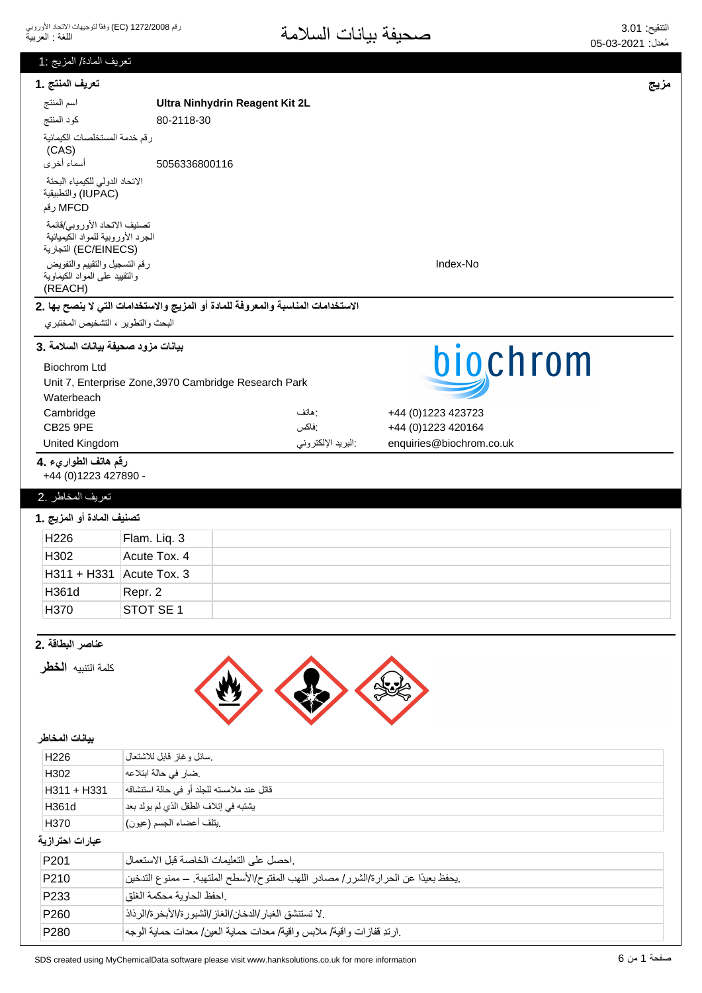| نعريف المادة/ المزيج :1                                   |                                                                                        |      |
|-----------------------------------------------------------|----------------------------------------------------------------------------------------|------|
| تعريف المنتج .1                                           |                                                                                        | مزيج |
| اسم المنتج                                                | Ultra Ninhydrin Reagent Kit 2L                                                         |      |
| كود المنتج                                                | 80-2118-30                                                                             |      |
| رقم خدمة المستخلصات الكيمائية                             |                                                                                        |      |
| (CAS)<br>أسماء أخرى                                       | 5056336800116                                                                          |      |
| الاتحاد الدولى للكيمياء البحتة                            |                                                                                        |      |
| (IUPAC) والتطبيقية                                        |                                                                                        |      |
| MFCD رقم                                                  |                                                                                        |      |
| تصنيف الاتحاد الأوروبي/قائمة                              |                                                                                        |      |
| الجرد الأوروبية للمواد الكيميائية<br>(EC/EINECS) التجارية |                                                                                        |      |
| رقم التسجيل والتقييم والتفويض                             | Index-No                                                                               |      |
| والنقييد على المواد الكيماوية<br>(REACH)                  |                                                                                        |      |
|                                                           | الاستخدامات المناسبة والمعروفة للمادة أو المزيج والاستخدامات التي لا ينصح بها .2       |      |
| البحث والتطوير ، التشخيص المختبري                         |                                                                                        |      |
|                                                           |                                                                                        |      |
| بيانات مزود صحيفة بيانات السلامة .3                       | biochrom                                                                               |      |
| <b>Biochrom Ltd</b>                                       |                                                                                        |      |
| Waterbeach                                                | Unit 7, Enterprise Zone, 3970 Cambridge Research Park                                  |      |
| Cambridge                                                 | +44 (0)1223 423723<br>: هاتف                                                           |      |
| <b>CB25 9PE</b>                                           | :فاكس<br>+44 (0)1223 420164                                                            |      |
| United Kingdom                                            | البريد الإلكتروني<br>enquiries@biochrom.co.uk                                          |      |
| رقم هاتف الطواريء .4                                      |                                                                                        |      |
| +44 (0) 1223 427890 -                                     |                                                                                        |      |
| تعريف المخاطر .2                                          |                                                                                        |      |
| تصنيف المادة أو المزيج .1                                 |                                                                                        |      |
| H226                                                      | Flam. Liq. 3                                                                           |      |
| H302                                                      | Acute Tox. 4                                                                           |      |
| $H311 + H331$ Acute Tox. 3                                |                                                                                        |      |
| H361d                                                     | Repr. 2                                                                                |      |
| H370                                                      | STOT SE 1                                                                              |      |
|                                                           |                                                                                        |      |
| عناصر البطاقة .2                                          |                                                                                        |      |
| كلمة التنبيه <b>الخطر</b>                                 |                                                                                        |      |
|                                                           |                                                                                        |      |
|                                                           |                                                                                        |      |
|                                                           |                                                                                        |      |
| بيانات المخاطر                                            |                                                                                        |      |
| H226                                                      | سائل وغاز قابل للاشتعال                                                                |      |
| H302                                                      | ضار في حالة ابتلاعه                                                                    |      |
| H311 + H331                                               | قاتل عند ملامسته للجلد أو في حالة استنشاقه                                             |      |
| H361d                                                     | يشتبه في إتلاف الطفل الذي لم يولد بعد                                                  |      |
| H370                                                      | يتلف أعضاء الجسم (عيون)                                                                |      |
| عبارات احترازية                                           |                                                                                        |      |
| P201                                                      | احصل على التعليمات الخاصة قبل الاستعمال                                                |      |
| P210                                                      | .يحفظ بعيدًا عن الحر ارة/الشرر / مصادر اللهب المفتوح/الأسطح الملتهبة. ــ ممنوع التدخين |      |
| P <sub>233</sub>                                          | احفظ الحاوية محكمة الغلق                                                               |      |
| P260                                                      | . لا تستنشق الغبار /الدخان/الغاز /الشبور ة/الأبخر ة/الرذاذ                             |      |
| P280                                                      | .ارتدِ قفازات واقية/ ملابس واقية/ معدات حماية العين/ معدات حماية الوجه                 |      |
|                                                           |                                                                                        |      |

صفحة 1 من 6 G created using MyChemicalData software please visit www.hanksolutions.co.uk for more information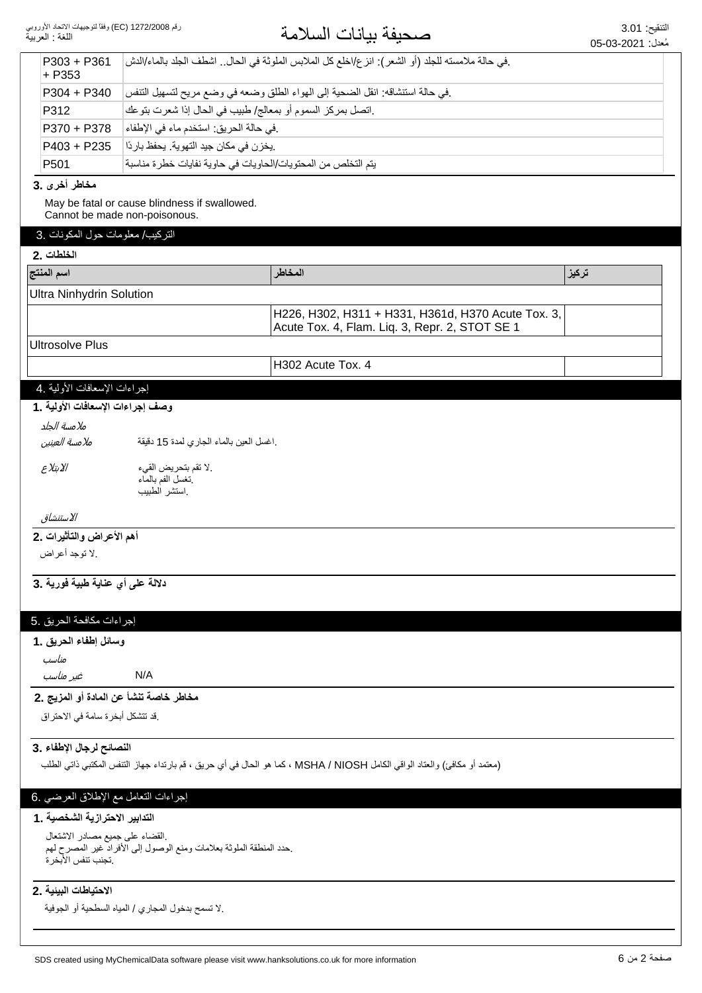| رقم 1272/2008 (EC) وفقاً لتوجيهات الاتحاد الأوروبي<br>اللغة : العربية |                                                                                | صحيفة بيانات السلامة                                                                                                      | التنقيح: 3.01<br>مُعدل: 2021-03-05 |
|-----------------------------------------------------------------------|--------------------------------------------------------------------------------|---------------------------------------------------------------------------------------------------------------------------|------------------------------------|
| $P303 + P361$<br>$+ P353$                                             |                                                                                | .في حالة ملامسته للجلد (أو الشعر): انز ع/اخلع كل الملابس الملوثة في الحال اشطف الجلد بالماء/الدش                          |                                    |
| P304 + P340                                                           |                                                                                | في حالة استنشاقه: انقل الضحية إلى الهواء الطلق وضعه في وضع مريح لتسهيل التنفس                                             |                                    |
| P312                                                                  | .اتصل بمركز السموم أو بمعالج/ طبيب في الحال إذا شعرت بتوعك                     |                                                                                                                           |                                    |
| P370 + P378                                                           | .في حالة الحريق: استخدم ماء في الإطفاء                                         |                                                                                                                           |                                    |
| P403 + P235                                                           | يخزن في مكان جيد التهوية. يحفظ باردًا                                          |                                                                                                                           |                                    |
| P <sub>501</sub>                                                      | يتم التخلص من المحتويات/الحاويات في حاوية نفايات خطرة مناسبة                   |                                                                                                                           |                                    |
| مخاطر أخرى .3                                                         |                                                                                |                                                                                                                           |                                    |
|                                                                       | May be fatal or cause blindness if swallowed.<br>Cannot be made non-poisonous. |                                                                                                                           |                                    |
| التركيب/ معلومات حول المكونات .3<br>الخلطات .2                        |                                                                                |                                                                                                                           |                                    |
| اسم المنتج                                                            |                                                                                | المخاطر                                                                                                                   | تركيز                              |
| <b>Ultra Ninhydrin Solution</b>                                       |                                                                                |                                                                                                                           |                                    |
|                                                                       |                                                                                |                                                                                                                           |                                    |
|                                                                       |                                                                                | H226, H302, H311 + H331, H361d, H370 Acute Tox. 3,<br>Acute Tox. 4, Flam. Liq. 3, Repr. 2, STOT SE 1                      |                                    |
| <b>Ultrosolve Plus</b>                                                |                                                                                |                                                                                                                           |                                    |
|                                                                       |                                                                                | H302 Acute Tox. 4                                                                                                         |                                    |
| إجراءات الإسعافات الأولية .4                                          |                                                                                |                                                                                                                           |                                    |
| وصف إجراءات الإسعافات الأولية ـ 1                                     |                                                                                |                                                                                                                           |                                    |
| ملامسة الجلد                                                          |                                                                                |                                                                                                                           |                                    |
| ملامسة العينين                                                        | اغسل العين بالماء الجاري لمدة 15 دقيقة                                         |                                                                                                                           |                                    |
| الابتلاع                                                              | .لا تقم بتحريض القيء                                                           |                                                                                                                           |                                    |
|                                                                       | نغسل الفم بالماء<br>استشر الطبيب                                               |                                                                                                                           |                                    |
| الاستنشاق                                                             |                                                                                |                                                                                                                           |                                    |
| أهم الأعراض والتأثيرات .2                                             |                                                                                |                                                                                                                           |                                    |
| لا توجد أعراض                                                         |                                                                                |                                                                                                                           |                                    |
| دلالة على أي عناية طبية فورية .3                                      |                                                                                |                                                                                                                           |                                    |
| إجراءات مكافحة الحريق .5                                              |                                                                                |                                                                                                                           |                                    |
| وسائل إطفاء الحريق .1                                                 |                                                                                |                                                                                                                           |                                    |
| مناسب                                                                 |                                                                                |                                                                                                                           |                                    |
| غیر مناسب                                                             | N/A                                                                            |                                                                                                                           |                                    |
| مخاطر خاصة تنشأ عن المادة أو المزيج .2                                |                                                                                |                                                                                                                           |                                    |
| .قد تتشكل أبخرة سامة في الاحتراق                                      |                                                                                |                                                                                                                           |                                    |
| النصائح لرجال الإطفاء .3                                              |                                                                                |                                                                                                                           |                                    |
|                                                                       |                                                                                | (معتمد أو مكافئ) والعتاد الواقي الكامل MSHA / NIOSH ، كما هو الحال في أي حريق ، قم بارتداء جهاز التنفس المكتبي ذاتي الطلب |                                    |
| إجراءات التعامل مع الإطلاق العرضي .6                                  |                                                                                |                                                                                                                           |                                    |
| التدابير الاحترازية الشخصية . 1                                       |                                                                                |                                                                                                                           |                                    |
| القضاء على جميع مصادر الاشتعال                                        |                                                                                |                                                                                                                           |                                    |
| تجنب تنفس الأبخر ة                                                    | حدد المنطقة الملوثة بعلامات ومنع الوصول إلى آلأفراد غير المصرح لهم             |                                                                                                                           |                                    |
|                                                                       |                                                                                |                                                                                                                           |                                    |
| الاحتياطات البيئية .2                                                 |                                                                                |                                                                                                                           |                                    |
|                                                                       | .لا تسمح بدخول المجاري / المياه السطحية أو الجوفية                             |                                                                                                                           |                                    |
|                                                                       |                                                                                |                                                                                                                           |                                    |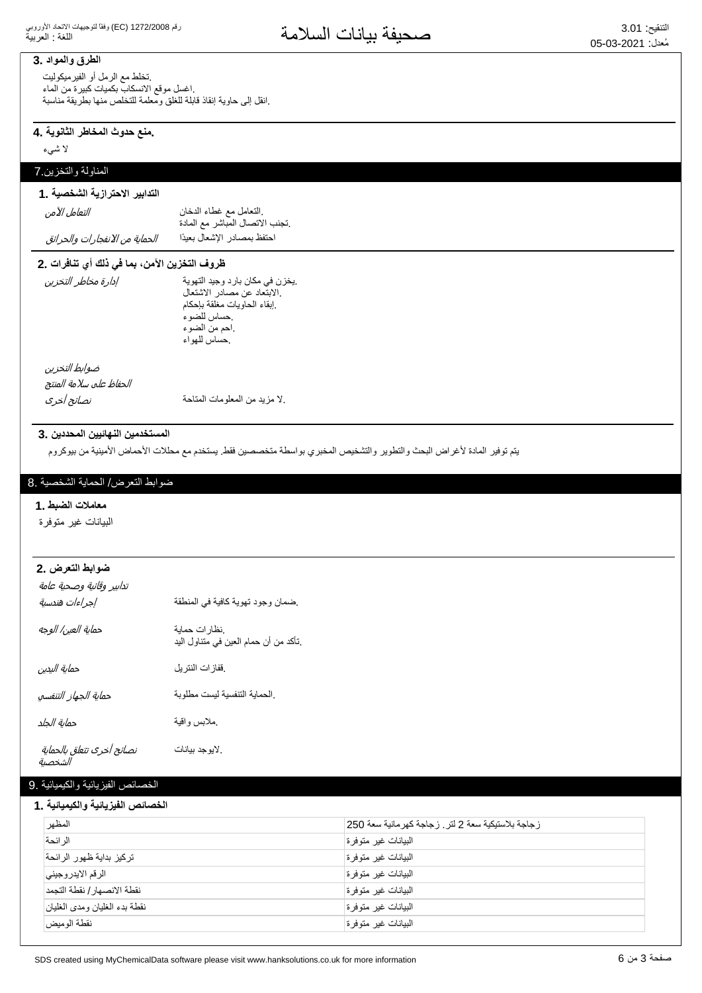### **11طرق والمواد**

تخلط مع الرمل أو الفيرميكوليت اغسل موقع الانسكاب بكميات كبيرة من الماء انقل إلى حاوية إنقاذ قابلة للغلق ومعلمة للتخلص منها بطريقة مناسبة

#### ـ منع حدوث المخاطر الثانوية ـ 4

لا شيء

### المناولة والتخزين 7

# التدابير الاحترازية الشخصية .1

التعامل الآمن

#### ِ النَّعاملُ مع غطاء الدخان تجنب الاتصال المباشر مع المادة. احتفظ بمصادر الإشعال بعيدًا *الحماية من الانفجارات والحرائق*

# ظروف التخزين الآمن، بما في ذلك أي تنافرات .2

| إدارة مخاطر التخزين | يخزن في مكان بارد وجيد التهوية<br>الابتعاد عن مصادر الاشتعال<br>إبقاء الحاويات مغلقة بإحكام<br>حساس للضوء<br>احم من الضوء<br>حساس للهواء |
|---------------------|------------------------------------------------------------------------------------------------------------------------------------------|
| ضروارط لاتخن        |                                                                                                                                          |

الحفاظ على سلامة المنتج ضوابط التخزين

Ͷ̢̞͕̝̼̓ͅ ΔΣΎΗϣϟΕΎϣϭϠόϣϟϥϣΩϳίϣϻ.

# المستخدمين النهائيين المحددين .3

يتم توفير المادة لأغراض البحث والتطوير والتشخيص المخبري بواسطة متخصصين فقط يستخدم مع محللات الأحماض الأمينية من بيوكروم

#### ضوابط التعرض/ الحماية الشخصية .8

#### **1. ρΑοϟΕϼϣΎόϣ**

البيانات غير متوفرة

#### **ضوابط التعرض .2**

| تدابير وقائية وصحية عامة<br>إجراءات هندسية | ضمان وجود تهوية كافية في المنطقة                        |
|--------------------------------------------|---------------------------------------------------------|
| حماية العين/ الوجه                         | نظار ات حماية.<br>تأكد من أن حمام العين في متناول اليد. |
| حماية اليدين                               | ففازات النتريل                                          |
| حماية الجهاز التنفسي                       | الحماية التنفسية ليست مطلوبة                            |
| حماية الجلد                                | ملابس واقية                                             |
| نصائح أخرى تتعلق بالحماية<br>الشخصية       | لايوجد بيانات                                           |

#### الخصائص الفيز يائية و الكيميائية .9

#### الخصائص الفيزيائية والكيميائية **.1**

| المظهر                        | زجاجة بلاستيكية سعة 2 لتر . زجاجة كهرمانية سعة 250 |
|-------------------------------|----------------------------------------------------|
| الر ائحة                      | البيانات غير متوفرة                                |
| تركيز بداية ظهور الرائحة      | البيانات غير متوفرة                                |
| الرقم الايدر وجيني            | البيانات غير متوفرة                                |
| نقطة الانصبهار / نقطة التجمد  | البيانات غير متوفرة                                |
| نقطة بدء الغليان ومدى الغليان | البيانات غير متوفرة                                |
| نقطة الوميض                   | البيانات غير متوفرة                                |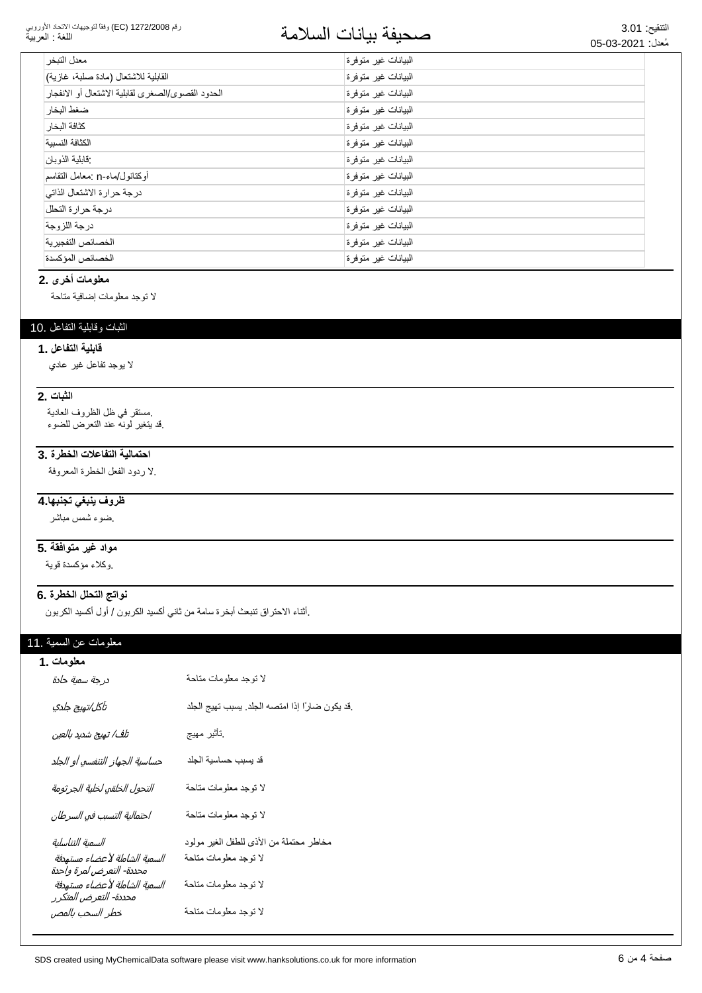#### رقم 1272/2008 (EC) وفقاً لتوجيهات الاتحاد الأوروبي اللغة : العربية

# التنفج: 3.01<br>مُعن 2001-03-05 ع

| معدل التبخر                                       | البيانات غير متوفرة |
|---------------------------------------------------|---------------------|
| القابلية للاشتعال (مادة صلبة، غازية)              | البيانات غير متوفرة |
| الحدود القصوى/الصغرى لقابلية الاشتعال أو الانفجار | البيانات غير متوفرة |
| ضغط البخار                                        | البيانات غير متوفرة |
| كثافة البخار                                      | البيانات غير متوفرة |
| الكثافة النسسة                                    | البيانات غير متوفرة |
| :قابلية الذوبان                                   | البيانات غير متوفرة |
| أوكتانول/ماء-n :معامل التقاسم                     | البيانات غير متوفرة |
| درجة حرارة الاشتعال الذاتي                        | البيانات غير متوفرة |
| درجة حرارة التحلل                                 | البيانات غير متوفرة |
| درجة اللزوجة                                      | البيانات غير متوفرة |
| الخصائص التفجيرية                                 | البيانات غير متوفرة |
| الخصائص المؤكسدة                                  | البيانات غير متوفرة |

# معلومات أخرى .2

لا توجد معلومات إضافية متاحة

### الثبات وقابلية التفاعل .10

#### قابلية التفاعل . **1**

لا بوجد تفاعل غیر عادي

# **2.** الثبات

مستقر في ظل الظروف العادية فد يتغير لونه عند النعرض للضوء.

# احتمالية التفاعلات الخطرة .3

لا ردود الفعل الخطرة المعروفة

# <del>ظروف ينبغي تجنبها 4</del>

ضوء شمس مباشر

# <mark>5. مواد غير متوافقة</mark>

وكلاء مؤكسدة قوية

### نواتج التحلل الخطرة .6

إأثناء الاحتراق تنبعث أبخرة سامة من ثاني أكسيد الكربون / أول أكسيد الكربون

# معلومات عن السمية .11

| معلومات .1                                        |                                                |
|---------------------------------------------------|------------------------------------------------|
| درجة سمية حادة                                    | لا توجد معلومات متاحة                          |
| تآكل/تهيج جلدي                                    | قد يكون ضارًا إذا امتصه الجلد. يسبب تهيج الجلد |
| تلف/ تهيج شديد بالعين                             | نأثير مهيج                                     |
| حساسية الجهاز التنفسي أو الجلد                    | قد يسبب حساسية الجلد                           |
| التحول الخلقي لخلية الجرثومة                      | لا توجد معلومات متاحة                          |
| احتمالية التسبب في السرطان                        | لا نوجد معلومات مناحة                          |
| السمية التناسلية                                  | مخاطر محتملة من الأذي للطفل الغير مولود        |
| السمية الشاملة لأعضاء مستهدفة                     | لا توجد معلومات متاحة                          |
| السمية الشاملة لأعضاء مستهدفة                     | لا نوجد معلومات متاحة                          |
| خطر السحب بالمص                                   | لا توجد معلومات متاحة                          |
| محددة- التعرض لمرة واحدة<br>محددة- التعرض المتكرر |                                                |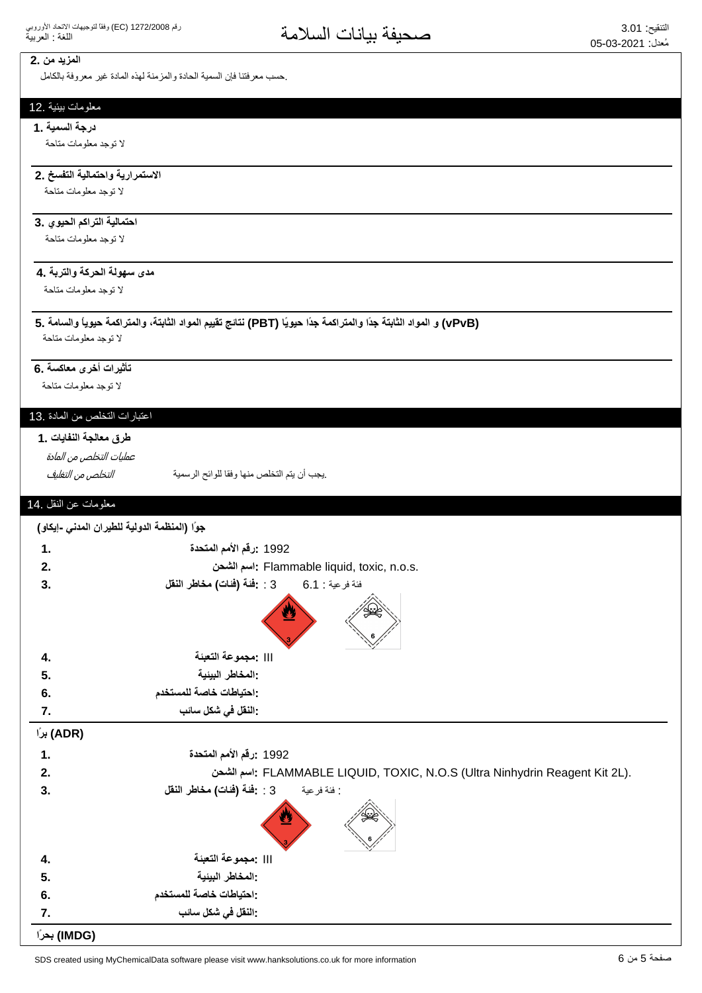### **المزيد من** .2

حسب معرفتنا فإن السمية الحادة والمزمنة لهذه المادة غير معروفة بالكامل

#### معلومات بيئية .12

#### **درجة السمية .1**

لا توجد معلومات متاحة

# الاستمرارية واحتمالية التفسخ .2

لا توجد معلومات متاحة

#### ا**حتمالية التراكم الحيوي .3**

لا توجد معلومات متاحة

#### مدى سهولة الحركة والتربة **.4**

لا توجد معلومات متاحة

# **5. ΔϣΎγϟϭ˱ΎϳϭϳΣΔϣϛέΗϣϟϭˬΔΗΑΎΛϟΩϭϣϟϡϳϳϘΗΞΎΗϧ (PBT) Ύ˱ϳϭϳΣ˱ΩΟΔϣϛέΗϣϟϭ˱ΩΟΔΗΑΎΛϟΩϭϣϟϭ (vPvB)**

لا توجد معلومات متاحة

### تأثيرات أخرى معاكسة .6

لا توجد معلومات متاحة

# اعتبارات التخلص من المادة .13

#### طرق معالجة النفايات .1

عمليات التخلص من المادة

ͮ௬Ͼ̲௪̺͙ͳ̻ͧϾ̞௪̺͙ ΔϳϣγέϟϭϠϟΎϘϓϭΎϬϧϣιϠΧΗϟϡΗϳϥΏΟϳ.

## معلومات عن النقل .14

|               | جوًا (المنظمة الدولية للطيران المدني -إيكاو)                                |
|---------------|-----------------------------------------------------------------------------|
| $\mathbf 1$ . | 1992 :رقم الأمم المتحدة                                                     |
| 2.            | : اسم الشحن : Flammable liquid, toxic, n.o.s.                               |
| 3.            | 3 : -فَنَة (فَنات) مخاطر النقل<br>فئة فرعية : 1.6                           |
|               |                                                                             |
| 4.            | :مجموعة التعبئة                                                             |
| 5.            | : المخاطر البيئية                                                           |
| 6.            | :احتياطات خاصة للمستخدم                                                     |
| 7.            | : النقل ف <i>ي</i> شكل سائب                                                 |
| (ADR) براً    |                                                                             |
| 1.            | 1992 :رقم الأمم المتحدة                                                     |
| 2.            | اسم الشحن. FLAMMABLE LIQUID, TOXIC, N.O.S (Ultra Ninhydrin Reagent Kit 2L). |
| 3.            | 3 : -فَنَة (فَنات) مخاطر النقل<br>: فئة فر عية                              |
|               |                                                                             |
| 4.            | :مجموعة التعبئة                                                             |
| 5.            | : المخاطر البيئية                                                           |
| 6.            | :احتياطات خاصة للمستخدم                                                     |
| 7.            | -النقل في شكل سائب                                                          |
| (IMDG) بحرًا  |                                                                             |